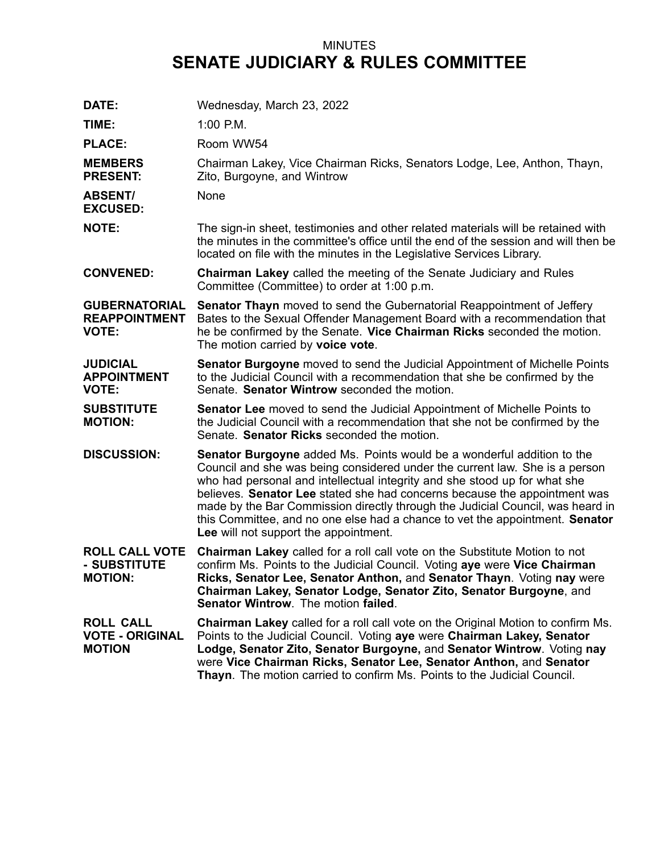## MINUTES **SENATE JUDICIARY & RULES COMMITTEE**

| DATE:                                                        | Wednesday, March 23, 2022                                                                                                                                                                                                                                                                                                                                                                                                                                                                                                         |
|--------------------------------------------------------------|-----------------------------------------------------------------------------------------------------------------------------------------------------------------------------------------------------------------------------------------------------------------------------------------------------------------------------------------------------------------------------------------------------------------------------------------------------------------------------------------------------------------------------------|
| TIME:                                                        | $1:00$ P.M.                                                                                                                                                                                                                                                                                                                                                                                                                                                                                                                       |
| <b>PLACE:</b>                                                | Room WW54                                                                                                                                                                                                                                                                                                                                                                                                                                                                                                                         |
| <b>MEMBERS</b><br><b>PRESENT:</b>                            | Chairman Lakey, Vice Chairman Ricks, Senators Lodge, Lee, Anthon, Thayn,<br>Zito, Burgoyne, and Wintrow                                                                                                                                                                                                                                                                                                                                                                                                                           |
| <b>ABSENT/</b><br><b>EXCUSED:</b>                            | None                                                                                                                                                                                                                                                                                                                                                                                                                                                                                                                              |
| <b>NOTE:</b>                                                 | The sign-in sheet, testimonies and other related materials will be retained with<br>the minutes in the committee's office until the end of the session and will then be<br>located on file with the minutes in the Legislative Services Library.                                                                                                                                                                                                                                                                                  |
| <b>CONVENED:</b>                                             | <b>Chairman Lakey called the meeting of the Senate Judiciary and Rules</b><br>Committee (Committee) to order at 1:00 p.m.                                                                                                                                                                                                                                                                                                                                                                                                         |
| <b>GUBERNATORIAL</b><br><b>REAPPOINTMENT</b><br><b>VOTE:</b> | <b>Senator Thayn</b> moved to send the Gubernatorial Reappointment of Jeffery<br>Bates to the Sexual Offender Management Board with a recommendation that<br>he be confirmed by the Senate. Vice Chairman Ricks seconded the motion.<br>The motion carried by voice vote.                                                                                                                                                                                                                                                         |
| <b>JUDICIAL</b><br><b>APPOINTMENT</b><br><b>VOTE:</b>        | Senator Burgoyne moved to send the Judicial Appointment of Michelle Points<br>to the Judicial Council with a recommendation that she be confirmed by the<br>Senate. Senator Wintrow seconded the motion.                                                                                                                                                                                                                                                                                                                          |
| <b>SUBSTITUTE</b><br><b>MOTION:</b>                          | <b>Senator Lee</b> moved to send the Judicial Appointment of Michelle Points to<br>the Judicial Council with a recommendation that she not be confirmed by the<br>Senate. Senator Ricks seconded the motion.                                                                                                                                                                                                                                                                                                                      |
| <b>DISCUSSION:</b>                                           | <b>Senator Burgoyne</b> added Ms. Points would be a wonderful addition to the<br>Council and she was being considered under the current law. She is a person<br>who had personal and intellectual integrity and she stood up for what she<br>believes. Senator Lee stated she had concerns because the appointment was<br>made by the Bar Commission directly through the Judicial Council, was heard in<br>this Committee, and no one else had a chance to vet the appointment. Senator<br>Lee will not support the appointment. |
| <b>ROLL CALL VOTE</b><br>- SUBSTITUTE<br><b>MOTION:</b>      | <b>Chairman Lakey</b> called for a roll call vote on the Substitute Motion to not<br>confirm Ms. Points to the Judicial Council. Voting aye were Vice Chairman<br>Ricks, Senator Lee, Senator Anthon, and Senator Thayn. Voting nay were<br>Chairman Lakey, Senator Lodge, Senator Zito, Senator Burgoyne, and<br>Senator Wintrow. The motion failed.                                                                                                                                                                             |
| <b>ROLL CALL</b><br><b>VOTE - ORIGINAL</b><br><b>MOTION</b>  | Chairman Lakey called for a roll call vote on the Original Motion to confirm Ms.<br>Points to the Judicial Council. Voting aye were Chairman Lakey, Senator<br>Lodge, Senator Zito, Senator Burgoyne, and Senator Wintrow. Voting nay<br>were Vice Chairman Ricks, Senator Lee, Senator Anthon, and Senator<br>Thayn. The motion carried to confirm Ms. Points to the Judicial Council.                                                                                                                                           |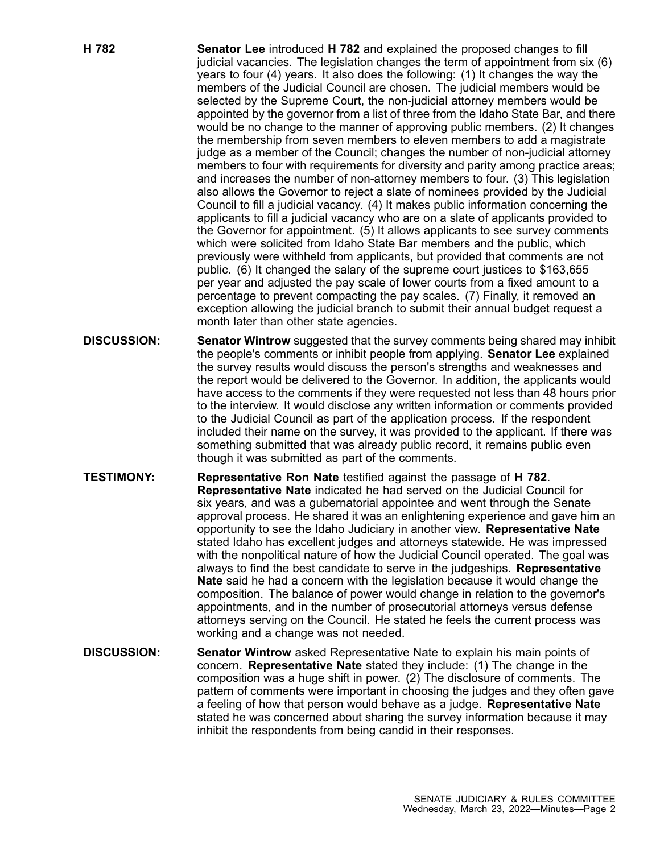- **H 782 Senator Lee** introduced **H 782** and explained the proposed changes to fill judicial vacancies. The legislation changes the term of appointment from six (6) years to four (4) years. It also does the following: (1) It changes the way the members of the Judicial Council are chosen. The judicial members would be selected by the Supreme Court, the non-judicial attorney members would be appointed by the governor from <sup>a</sup> list of three from the Idaho State Bar, and there would be no change to the manner of approving public members. (2) It changes the membership from seven members to eleven members to add <sup>a</sup> magistrate judge as <sup>a</sup> member of the Council; changes the number of non-judicial attorney members to four with requirements for diversity and parity among practice areas; and increases the number of non-attorney members to four. (3) This legislation also allows the Governor to reject <sup>a</sup> slate of nominees provided by the Judicial Council to fill <sup>a</sup> judicial vacancy. (4) It makes public information concerning the applicants to fill <sup>a</sup> judicial vacancy who are on <sup>a</sup> slate of applicants provided to the Governor for appointment. (5) It allows applicants to see survey comments which were solicited from Idaho State Bar members and the public, which previously were withheld from applicants, but provided that comments are not public. (6) It changed the salary of the supreme court justices to \$163,655 per year and adjusted the pay scale of lower courts from <sup>a</sup> fixed amount to <sup>a</sup> percentage to prevent compacting the pay scales. (7) Finally, it removed an exception allowing the judicial branch to submit their annual budget request <sup>a</sup> month later than other state agencies. **DISCUSSION: Senator Wintrow** suggested that the survey comments being shared may inhibit
- the people's comments or inhibit people from applying. **Senator Lee** explained the survey results would discuss the person's strengths and weaknesses and the report would be delivered to the Governor. In addition, the applicants would have access to the comments if they were requested not less than 48 hours prior to the interview. It would disclose any written information or comments provided to the Judicial Council as part of the application process. If the respondent included their name on the survey, it was provided to the applicant. If there was something submitted that was already public record, it remains public even though it was submitted as part of the comments.
- **TESTIMONY: Representative Ron Nate** testified against the passage of **H 782**. **Representative Nate** indicated he had served on the Judicial Council for six years, and was <sup>a</sup> gubernatorial appointee and went through the Senate approval process. He shared it was an enlightening experience and gave him an opportunity to see the Idaho Judiciary in another view. **Representative Nate** stated Idaho has excellent judges and attorneys statewide. He was impressed with the nonpolitical nature of how the Judicial Council operated. The goal was always to find the best candidate to serve in the judgeships. **Representative Nate** said he had <sup>a</sup> concern with the legislation because it would change the composition. The balance of power would change in relation to the governor's appointments, and in the number of prosecutorial attorneys versus defense attorneys serving on the Council. He stated he feels the current process was working and <sup>a</sup> change was not needed.
- **DISCUSSION: Senator Wintrow** asked Representative Nate to explain his main points of concern. **Representative Nate** stated they include: (1) The change in the composition was <sup>a</sup> huge shift in power. (2) The disclosure of comments. The pattern of comments were important in choosing the judges and they often gave <sup>a</sup> feeling of how that person would behave as <sup>a</sup> judge. **Representative Nate** stated he was concerned about sharing the survey information because it may inhibit the respondents from being candid in their responses.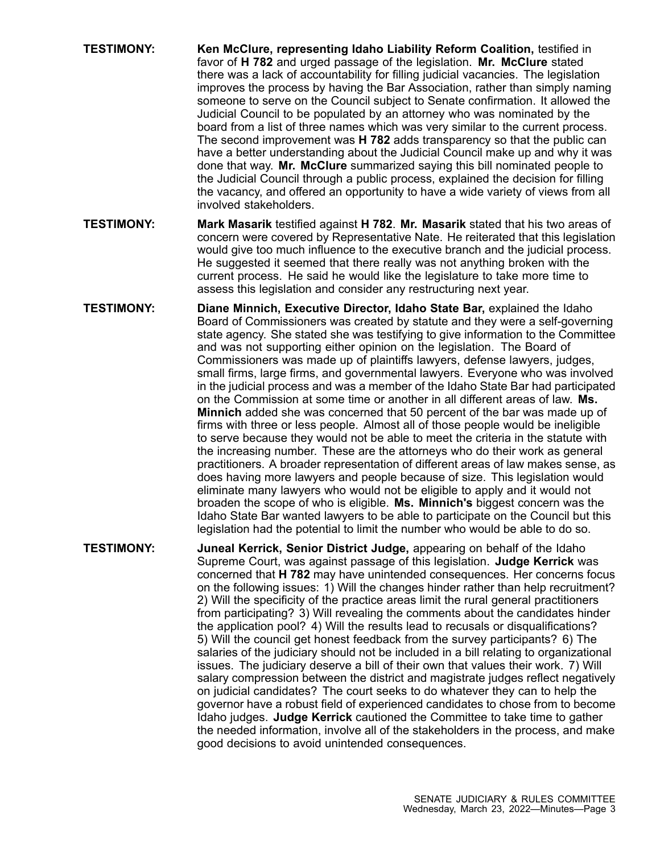- **TESTIMONY: Ken McClure, representing Idaho Liability Reform Coalition,** testified in favor of **H 782** and urged passage of the legislation. **Mr. McClure** stated there was <sup>a</sup> lack of accountability for filling judicial vacancies. The legislation improves the process by having the Bar Association, rather than simply naming someone to serve on the Council subject to Senate confirmation. It allowed the Judicial Council to be populated by an attorney who was nominated by the board from <sup>a</sup> list of three names which was very similar to the current process. The second improvement was **H 782** adds transparency so that the public can have <sup>a</sup> better understanding about the Judicial Council make up and why it was done that way. **Mr. McClure** summarized saying this bill nominated people to the Judicial Council through <sup>a</sup> public process, explained the decision for filling the vacancy, and offered an opportunity to have <sup>a</sup> wide variety of views from all involved stakeholders.
- **TESTIMONY: Mark Masarik** testified against **H 782**. **Mr. Masarik** stated that his two areas of concern were covered by Representative Nate. He reiterated that this legislation would give too much influence to the executive branch and the judicial process. He suggested it seemed that there really was not anything broken with the current process. He said he would like the legislature to take more time to assess this legislation and consider any restructuring next year.
- **TESTIMONY: Diane Minnich, Executive Director, Idaho State Bar,** explained the Idaho Board of Commissioners was created by statute and they were <sup>a</sup> self-governing state agency. She stated she was testifying to give information to the Committee and was not supporting either opinion on the legislation. The Board of Commissioners was made up of plaintiffs lawyers, defense lawyers, judges, small firms, large firms, and governmental lawyers. Everyone who was involved in the judicial process and was <sup>a</sup> member of the Idaho State Bar had participated on the Commission at some time or another in all different areas of law. **Ms. Minnich** added she was concerned that 50 percent of the bar was made up of firms with three or less people. Almost all of those people would be ineligible to serve because they would not be able to meet the criteria in the statute with the increasing number. These are the attorneys who do their work as general practitioners. A broader representation of different areas of law makes sense, as does having more lawyers and people because of size. This legislation would eliminate many lawyers who would not be eligible to apply and it would not broaden the scope of who is eligible. **Ms. Minnich's** biggest concern was the Idaho State Bar wanted lawyers to be able to participate on the Council but this legislation had the potential to limit the number who would be able to do so.
- **TESTIMONY: Juneal Kerrick, Senior District Judge,** appearing on behalf of the Idaho Supreme Court, was against passage of this legislation. **Judge Kerrick** was concerned that **H 782** may have unintended consequences. Her concerns focus on the following issues: 1) Will the changes hinder rather than help recruitment? 2) Will the specificity of the practice areas limit the rural general practitioners from participating? 3) Will revealing the comments about the candidates hinder the application pool? 4) Will the results lead to recusals or disqualifications? 5) Will the council get honest feedback from the survey participants? 6) The salaries of the judiciary should not be included in <sup>a</sup> bill relating to organizational issues. The judiciary deserve <sup>a</sup> bill of their own that values their work. 7) Will salary compression between the district and magistrate judges reflect negatively on judicial candidates? The court seeks to do whatever they can to help the governor have <sup>a</sup> robust field of experienced candidates to chose from to become Idaho judges. **Judge Kerrick** cautioned the Committee to take time to gather the needed information, involve all of the stakeholders in the process, and make good decisions to avoid unintended consequences.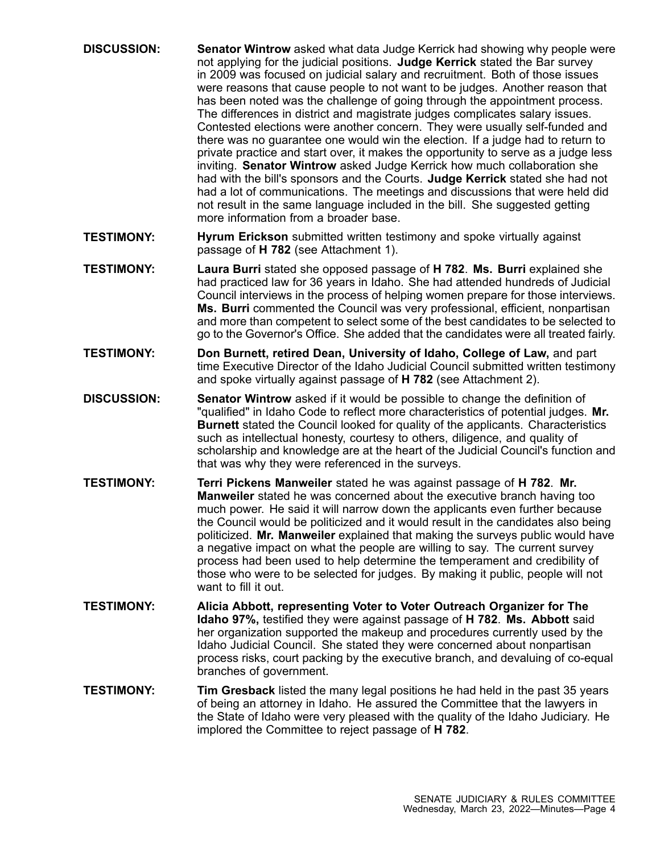| <b>DISCUSSION:</b> | Senator Wintrow asked what data Judge Kerrick had showing why people were<br>not applying for the judicial positions. Judge Kerrick stated the Bar survey<br>in 2009 was focused on judicial salary and recruitment. Both of those issues<br>were reasons that cause people to not want to be judges. Another reason that<br>has been noted was the challenge of going through the appointment process.<br>The differences in district and magistrate judges complicates salary issues.<br>Contested elections were another concern. They were usually self-funded and<br>there was no guarantee one would win the election. If a judge had to return to<br>private practice and start over, it makes the opportunity to serve as a judge less<br>inviting. Senator Wintrow asked Judge Kerrick how much collaboration she<br>had with the bill's sponsors and the Courts. Judge Kerrick stated she had not<br>had a lot of communications. The meetings and discussions that were held did<br>not result in the same language included in the bill. She suggested getting<br>more information from a broader base. |
|--------------------|---------------------------------------------------------------------------------------------------------------------------------------------------------------------------------------------------------------------------------------------------------------------------------------------------------------------------------------------------------------------------------------------------------------------------------------------------------------------------------------------------------------------------------------------------------------------------------------------------------------------------------------------------------------------------------------------------------------------------------------------------------------------------------------------------------------------------------------------------------------------------------------------------------------------------------------------------------------------------------------------------------------------------------------------------------------------------------------------------------------------|
| <b>TESTIMONY:</b>  | Hyrum Erickson submitted written testimony and spoke virtually against<br>passage of H 782 (see Attachment 1).                                                                                                                                                                                                                                                                                                                                                                                                                                                                                                                                                                                                                                                                                                                                                                                                                                                                                                                                                                                                      |
| <b>TESTIMONY:</b>  | Laura Burri stated she opposed passage of H 782. Ms. Burri explained she<br>had practiced law for 36 years in Idaho. She had attended hundreds of Judicial<br>Council interviews in the process of helping women prepare for those interviews.<br>Ms. Burri commented the Council was very professional, efficient, nonpartisan<br>and more than competent to select some of the best candidates to be selected to<br>go to the Governor's Office. She added that the candidates were all treated fairly.                                                                                                                                                                                                                                                                                                                                                                                                                                                                                                                                                                                                           |
| <b>TESTIMONY:</b>  | Don Burnett, retired Dean, University of Idaho, College of Law, and part<br>time Executive Director of the Idaho Judicial Council submitted written testimony<br>and spoke virtually against passage of H 782 (see Attachment 2).                                                                                                                                                                                                                                                                                                                                                                                                                                                                                                                                                                                                                                                                                                                                                                                                                                                                                   |
| <b>DISCUSSION:</b> | Senator Wintrow asked if it would be possible to change the definition of<br>"qualified" in Idaho Code to reflect more characteristics of potential judges. Mr.<br><b>Burnett</b> stated the Council looked for quality of the applicants. Characteristics<br>such as intellectual honesty, courtesy to others, diligence, and quality of<br>scholarship and knowledge are at the heart of the Judicial Council's function and<br>that was why they were referenced in the surveys.                                                                                                                                                                                                                                                                                                                                                                                                                                                                                                                                                                                                                                 |
| <b>TESTIMONY:</b>  | Terri Pickens Manweiler stated he was against passage of H 782. Mr.<br>Manweiler stated he was concerned about the executive branch having too<br>much power. He said it will narrow down the applicants even further because<br>the Council would be politicized and it would result in the candidates also being<br>politicized. Mr. Manweiler explained that making the surveys public would have<br>a negative impact on what the people are willing to say. The current survey<br>process had been used to help determine the temperament and credibility of<br>those who were to be selected for judges. By making it public, people will not<br>want to fill it out.                                                                                                                                                                                                                                                                                                                                                                                                                                         |
| <b>TESTIMONY:</b>  | Alicia Abbott, representing Voter to Voter Outreach Organizer for The<br>Idaho 97%, testified they were against passage of H 782. Ms. Abbott said<br>her organization supported the makeup and procedures currently used by the<br>Idaho Judicial Council. She stated they were concerned about nonpartisan<br>process risks, court packing by the executive branch, and devaluing of co-equal<br>branches of government.                                                                                                                                                                                                                                                                                                                                                                                                                                                                                                                                                                                                                                                                                           |
| <b>TESTIMONY:</b>  | Tim Gresback listed the many legal positions he had held in the past 35 years<br>of being an attorney in Idaho. He assured the Committee that the lawyers in<br>the State of Idaho were very pleased with the quality of the Idaho Judiciary. He<br>implored the Committee to reject passage of H 782.                                                                                                                                                                                                                                                                                                                                                                                                                                                                                                                                                                                                                                                                                                                                                                                                              |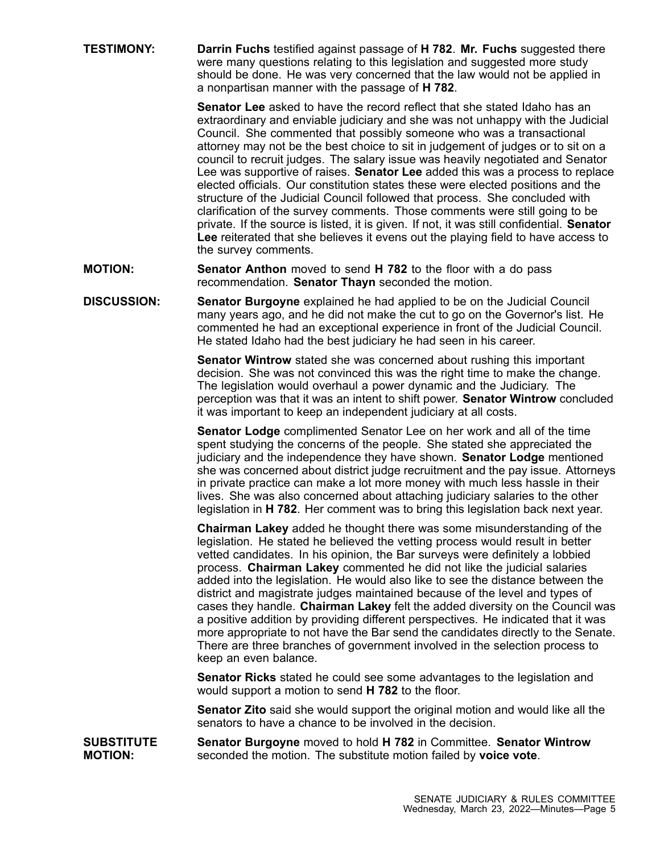**TESTIMONY: Darrin Fuchs** testified against passage of **H 782**. **Mr. Fuchs** suggested there were many questions relating to this legislation and suggested more study should be done. He was very concerned that the law would not be applied in <sup>a</sup> nonpartisan manner with the passage of **H 782**.

> **Senator Lee** asked to have the record reflect that she stated Idaho has an extraordinary and enviable judiciary and she was not unhappy with the Judicial Council. She commented that possibly someone who was <sup>a</sup> transactional attorney may not be the best choice to sit in judgement of judges or to sit on <sup>a</sup> council to recruit judges. The salary issue was heavily negotiated and Senator Lee was supportive of raises. **Senator Lee** added this was <sup>a</sup> process to replace elected officials. Our constitution states these were elected positions and the structure of the Judicial Council followed that process. She concluded with clarification of the survey comments. Those comments were still going to be private. If the source is listed, it is given. If not, it was still confidential. **Senator Lee** reiterated that she believes it evens out the playing field to have access to the survey comments.

- **MOTION: Senator Anthon** moved to send **H 782** to the floor with <sup>a</sup> do pass recommendation. **Senator Thayn** seconded the motion.
- **DISCUSSION: Senator Burgoyne** explained he had applied to be on the Judicial Council many years ago, and he did not make the cut to go on the Governor's list. He commented he had an exceptional experience in front of the Judicial Council. He stated Idaho had the best judiciary he had seen in his career.

**Senator Wintrow** stated she was concerned about rushing this important decision. She was not convinced this was the right time to make the change. The legislation would overhaul <sup>a</sup> power dynamic and the Judiciary. The perception was that it was an intent to shift power. **Senator Wintrow** concluded it was important to keep an independent judiciary at all costs.

**Senator Lodge** complimented Senator Lee on her work and all of the time spent studying the concerns of the people. She stated she appreciated the judiciary and the independence they have shown. **Senator Lodge** mentioned she was concerned about district judge recruitment and the pay issue. Attorneys in private practice can make <sup>a</sup> lot more money with much less hassle in their lives. She was also concerned about attaching judiciary salaries to the other legislation in **H 782**. Her comment was to bring this legislation back next year.

**Chairman Lakey** added he thought there was some misunderstanding of the legislation. He stated he believed the vetting process would result in better vetted candidates. In his opinion, the Bar surveys were definitely <sup>a</sup> lobbied process. **Chairman Lakey** commented he did not like the judicial salaries added into the legislation. He would also like to see the distance between the district and magistrate judges maintained because of the level and types of cases they handle. **Chairman Lakey** felt the added diversity on the Council was <sup>a</sup> positive addition by providing different perspectives. He indicated that it was more appropriate to not have the Bar send the candidates directly to the Senate. There are three branches of government involved in the selection process to keep an even balance.

**Senator Ricks** stated he could see some advantages to the legislation and would support <sup>a</sup> motion to send **H 782** to the floor.

**Senator Zito** said she would support the original motion and would like all the senators to have a chance to be involved in the decision.

**SUBSTITUTE MOTION: Senator Burgoyne** moved to hold **H 782** in Committee. **Senator Wintrow** seconded the motion. The substitute motion failed by **voice vote**.